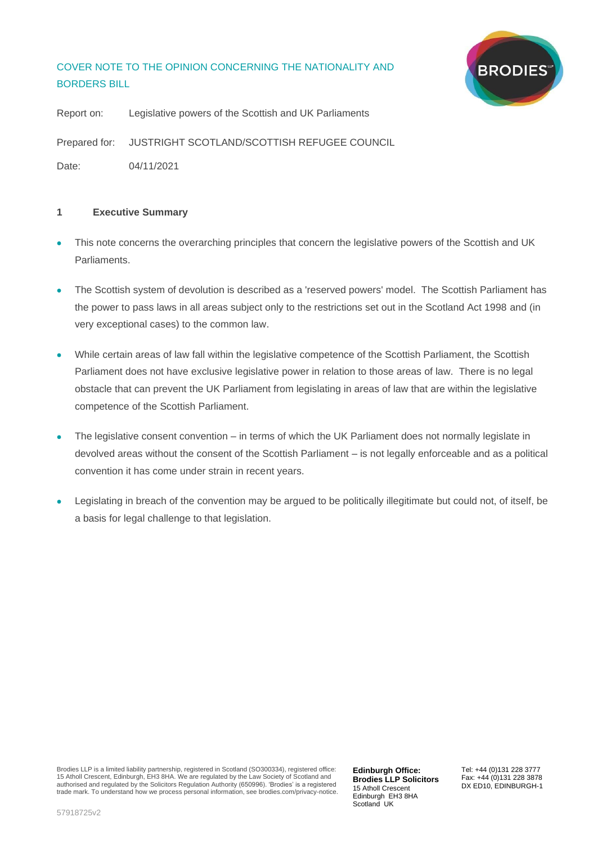# COVER NOTE TO THE OPINION CONCERNING THE NATIONALITY AND BORDERS BILL



Report on: Legislative powers of the Scottish and UK Parliaments Prepared for: JUSTRIGHT SCOTLAND/SCOTTISH REFUGEE COUNCIL Date: 04/11/2021

## **1 Executive Summary**

- This note concerns the overarching principles that concern the legislative powers of the Scottish and UK Parliaments.
- The Scottish system of devolution is described as a 'reserved powers' model. The Scottish Parliament has the power to pass laws in all areas subject only to the restrictions set out in the Scotland Act 1998 and (in very exceptional cases) to the common law.
- While certain areas of law fall within the legislative competence of the Scottish Parliament, the Scottish Parliament does not have exclusive legislative power in relation to those areas of law. There is no legal obstacle that can prevent the UK Parliament from legislating in areas of law that are within the legislative competence of the Scottish Parliament.
- The legislative consent convention in terms of which the UK Parliament does not normally legislate in devolved areas without the consent of the Scottish Parliament – is not legally enforceable and as a political convention it has come under strain in recent years.
- Legislating in breach of the convention may be argued to be politically illegitimate but could not, of itself, be a basis for legal challenge to that legislation.

**Edinburgh Office: Brodies LLP Solicitors** 15 Atholl Crescent Edinburgh EH3 8HA Scotland UK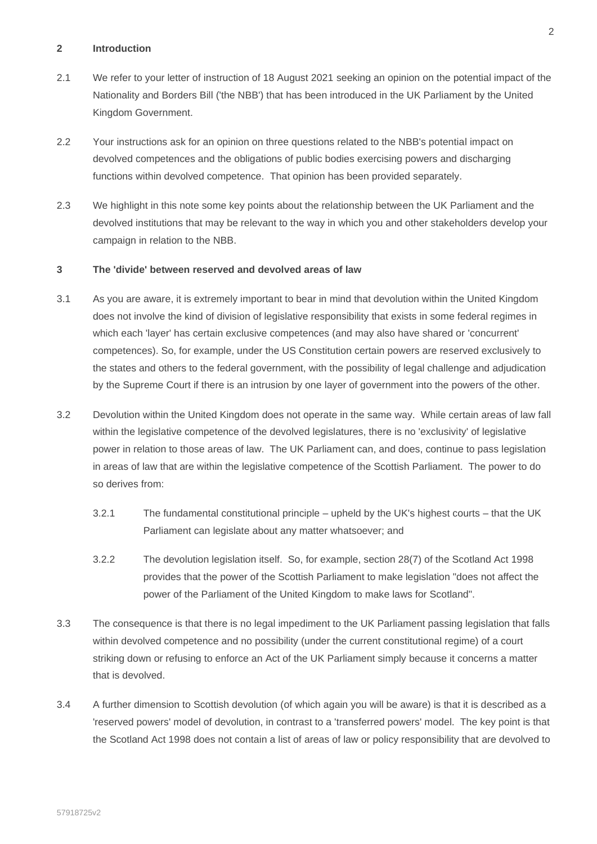#### **2 Introduction**

- 2.1 We refer to your letter of instruction of 18 August 2021 seeking an opinion on the potential impact of the Nationality and Borders Bill ('the NBB') that has been introduced in the UK Parliament by the United Kingdom Government.
- 2.2 Your instructions ask for an opinion on three questions related to the NBB's potential impact on devolved competences and the obligations of public bodies exercising powers and discharging functions within devolved competence. That opinion has been provided separately.
- 2.3 We highlight in this note some key points about the relationship between the UK Parliament and the devolved institutions that may be relevant to the way in which you and other stakeholders develop your campaign in relation to the NBB.

## **3 The 'divide' between reserved and devolved areas of law**

- 3.1 As you are aware, it is extremely important to bear in mind that devolution within the United Kingdom does not involve the kind of division of legislative responsibility that exists in some federal regimes in which each 'layer' has certain exclusive competences (and may also have shared or 'concurrent' competences). So, for example, under the US Constitution certain powers are reserved exclusively to the states and others to the federal government, with the possibility of legal challenge and adjudication by the Supreme Court if there is an intrusion by one layer of government into the powers of the other.
- 3.2 Devolution within the United Kingdom does not operate in the same way. While certain areas of law fall within the legislative competence of the devolved legislatures, there is no 'exclusivity' of legislative power in relation to those areas of law. The UK Parliament can, and does, continue to pass legislation in areas of law that are within the legislative competence of the Scottish Parliament. The power to do so derives from:
	- 3.2.1 The fundamental constitutional principle upheld by the UK's highest courts that the UK Parliament can legislate about any matter whatsoever; and
	- 3.2.2 The devolution legislation itself. So, for example, section 28(7) of the Scotland Act 1998 provides that the power of the Scottish Parliament to make legislation "does not affect the power of the Parliament of the United Kingdom to make laws for Scotland".
- 3.3 The consequence is that there is no legal impediment to the UK Parliament passing legislation that falls within devolved competence and no possibility (under the current constitutional regime) of a court striking down or refusing to enforce an Act of the UK Parliament simply because it concerns a matter that is devolved.
- 3.4 A further dimension to Scottish devolution (of which again you will be aware) is that it is described as a 'reserved powers' model of devolution, in contrast to a 'transferred powers' model. The key point is that the Scotland Act 1998 does not contain a list of areas of law or policy responsibility that are devolved to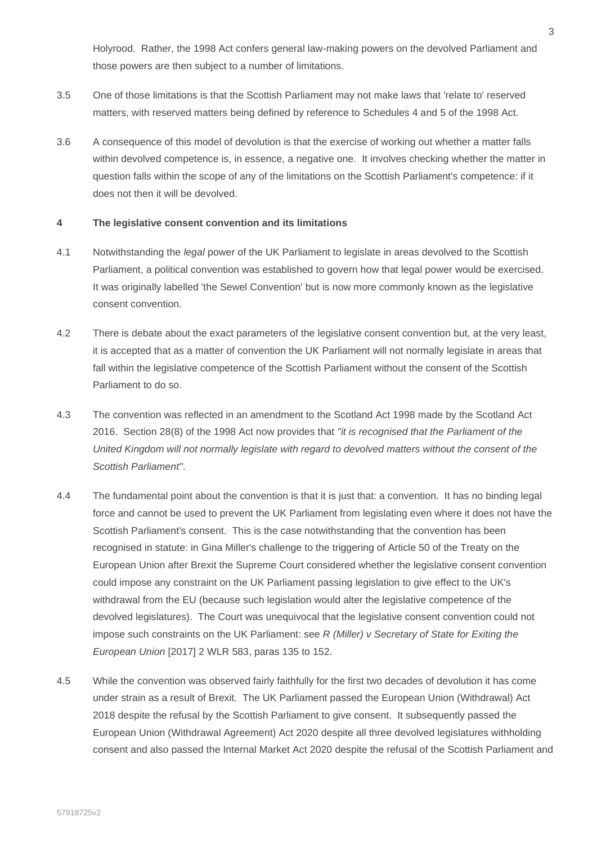Holyrood. Rather, the 1998 Act confers general law-making powers on the devolved Parliament and those powers are then subject to a number of limitations.

- 3.5 One of those limitations is that the Scottish Parliament may not make laws that 'relate to' reserved matters, with reserved matters being defined by reference to Schedules 4 and 5 of the 1998 Act.
- 3.6 A consequence of this model of devolution is that the exercise of working out whether a matter falls within devolved competence is, in essence, a negative one. It involves checking whether the matter in question falls within the scope of any of the limitations on the Scottish Parliament's competence: if it does not then it will be devolved.

### **4 The legislative consent convention and its limitations**

- 4.1 Notwithstanding the *legal* power of the UK Parliament to legislate in areas devolved to the Scottish Parliament, a political convention was established to govern how that legal power would be exercised. It was originally labelled 'the Sewel Convention' but is now more commonly known as the legislative consent convention.
- 4.2 There is debate about the exact parameters of the legislative consent convention but, at the very least, it is accepted that as a matter of convention the UK Parliament will not normally legislate in areas that fall within the legislative competence of the Scottish Parliament without the consent of the Scottish Parliament to do so.
- 4.3 The convention was reflected in an amendment to the Scotland Act 1998 made by the Scotland Act 2016. Section 28(8) of the 1998 Act now provides that *"it is recognised that the Parliament of the United Kingdom will not normally legislate with regard to devolved matters without the consent of the Scottish Parliament"*.
- 4.4 The fundamental point about the convention is that it is just that: a convention. It has no binding legal force and cannot be used to prevent the UK Parliament from legislating even where it does not have the Scottish Parliament's consent. This is the case notwithstanding that the convention has been recognised in statute: in Gina Miller's challenge to the triggering of Article 50 of the Treaty on the European Union after Brexit the Supreme Court considered whether the legislative consent convention could impose any constraint on the UK Parliament passing legislation to give effect to the UK's withdrawal from the EU (because such legislation would alter the legislative competence of the devolved legislatures). The Court was unequivocal that the legislative consent convention could not impose such constraints on the UK Parliament: see *R (Miller) v Secretary of State for Exiting the European Union* [2017] 2 WLR 583, paras 135 to 152.
- 4.5 While the convention was observed fairly faithfully for the first two decades of devolution it has come under strain as a result of Brexit. The UK Parliament passed the European Union (Withdrawal) Act 2018 despite the refusal by the Scottish Parliament to give consent. It subsequently passed the European Union (Withdrawal Agreement) Act 2020 despite all three devolved legislatures withholding consent and also passed the Internal Market Act 2020 despite the refusal of the Scottish Parliament and